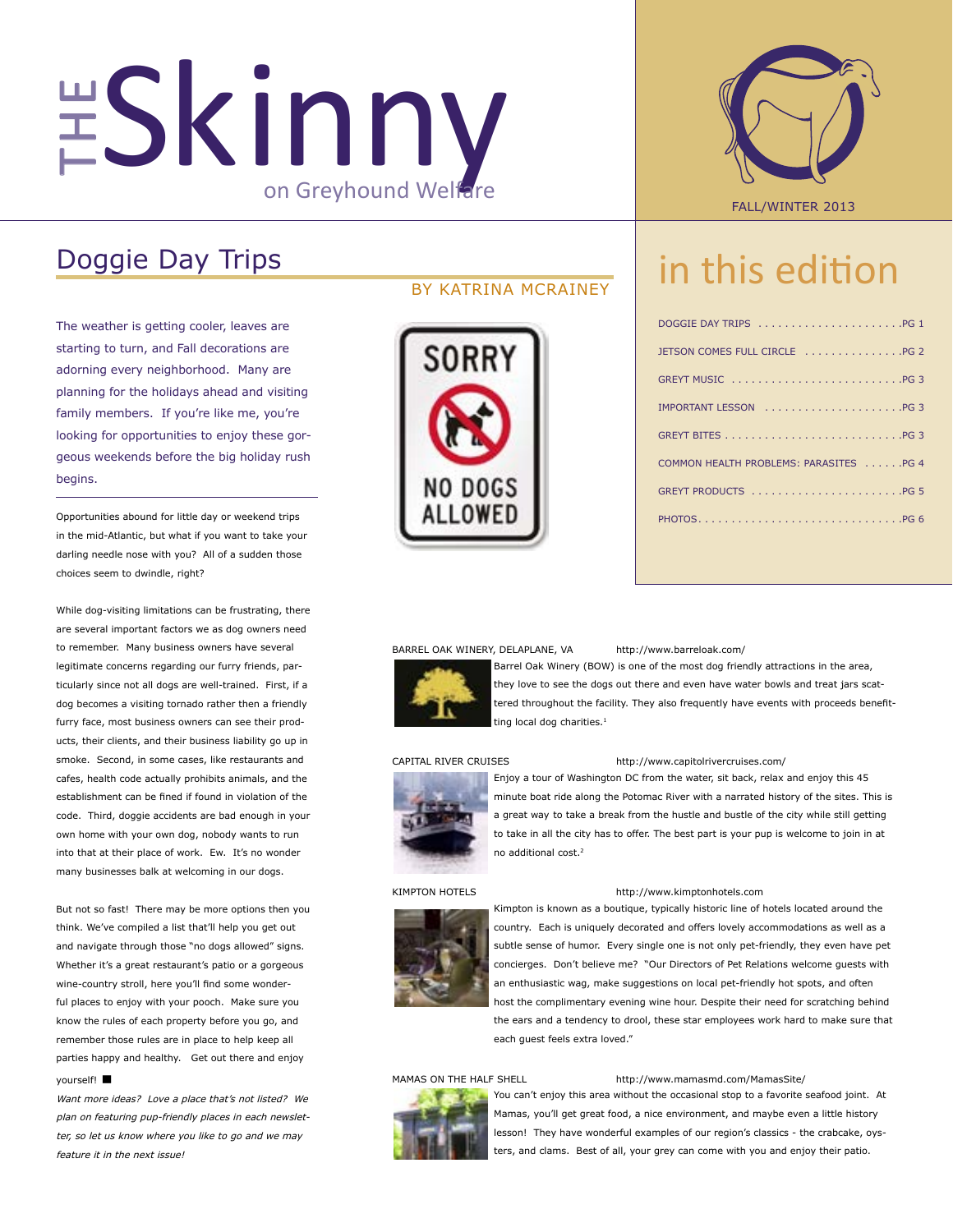# THE SKINNY ON Greyhound Welfare FALL/WINTER 2013

# Doggie Day Trips

The weather is getting cooler, leaves are starting to turn, and Fall decorations are adorning every neighborhood. Many are planning for the holidays ahead and visiting family members. If you're like me, you're looking for opportunities to enjoy these gorgeous weekends before the big holiday rush begins.

Opportunities abound for little day or weekend trips in the mid-Atlantic, but what if you want to take your darling needle nose with you? All of a sudden those choices seem to dwindle, right?

While dog-visiting limitations can be frustrating, there are several important factors we as dog owners need to remember. Many business owners have several legitimate concerns regarding our furry friends, particularly since not all dogs are well-trained. First, if a dog becomes a visiting tornado rather then a friendly furry face, most business owners can see their products, their clients, and their business liability go up in smoke. Second, in some cases, like restaurants and cafes, health code actually prohibits animals, and the establishment can be fined if found in violation of the code. Third, doggie accidents are bad enough in your own home with your own dog, nobody wants to run into that at their place of work. Ew. It's no wonder many businesses balk at welcoming in our dogs.

But not so fast! There may be more options then you think. We've compiled a list that'll help you get out and navigate through those "no dogs allowed" signs. Whether it's a great restaurant's patio or a gorgeous wine-country stroll, here you'll find some wonderful places to enjoy with your pooch. Make sure you know the rules of each property before you go, and remember those rules are in place to help keep all parties happy and healthy. Get out there and enjoy yourself! **▪**

Want more ideas? Love a place that's not listed? We plan on featuring pup-friendly places in each newsletter, so let us know where you like to go and we may feature it in the next issue!

## BY KATRINA MCRAINEY





# in this edition

| DOGGIE DAY TRIPS PG 1                  |
|----------------------------------------|
| JETSON COMES FULL CIRCLE PG 2          |
|                                        |
| IMPORTANT LESSON PG 3                  |
|                                        |
| COMMON HEALTH PROBLEMS: PARASITES PG 4 |
|                                        |
|                                        |

#### BARREL OAK WINERY, DELAPLANE, VA http://www.barreloak.com/



Barrel Oak Winery (BOW) is one of the most dog friendly attractions in the area, they love to see the dogs out there and even have water bowls and treat jars scattered throughout the facility. They also frequently have events with proceeds benefitting local dog charities. $<sup>1</sup>$ </sup>



#### CAPITAL RIVER CRUISES http://www.capitolrivercruises.com/

Enjoy a tour of Washington DC from the water, sit back, relax and enjoy this 45 minute boat ride along the Potomac River with a narrated history of the sites. This is a great way to take a break from the hustle and bustle of the city while still getting to take in all the city has to offer. The best part is your pup is welcome to join in at no additional cost.2

#### KIMPTON HOTELS http://www.kimptonhotels.com



Kimpton is known as a boutique, typically historic line of hotels located around the country. Each is uniquely decorated and offers lovely accommodations as well as a subtle sense of humor. Every single one is not only pet-friendly, they even have pet concierges. Don't believe me? "Our Directors of Pet Relations welcome guests with an enthusiastic wag, make suggestions on local pet-friendly hot spots, and often host the complimentary evening wine hour. Despite their need for scratching behind the ears and a tendency to drool, these star employees work hard to make sure that each guest feels extra loved."



#### MAMAS ON THE HALF SHELL http://www.mamasmd.com/MamasSite/

You can't enjoy this area without the occasional stop to a favorite seafood joint. At Mamas, you'll get great food, a nice environment, and maybe even a little history lesson! They have wonderful examples of our region's classics - the crabcake, oysters, and clams. Best of all, your grey can come with you and enjoy their patio.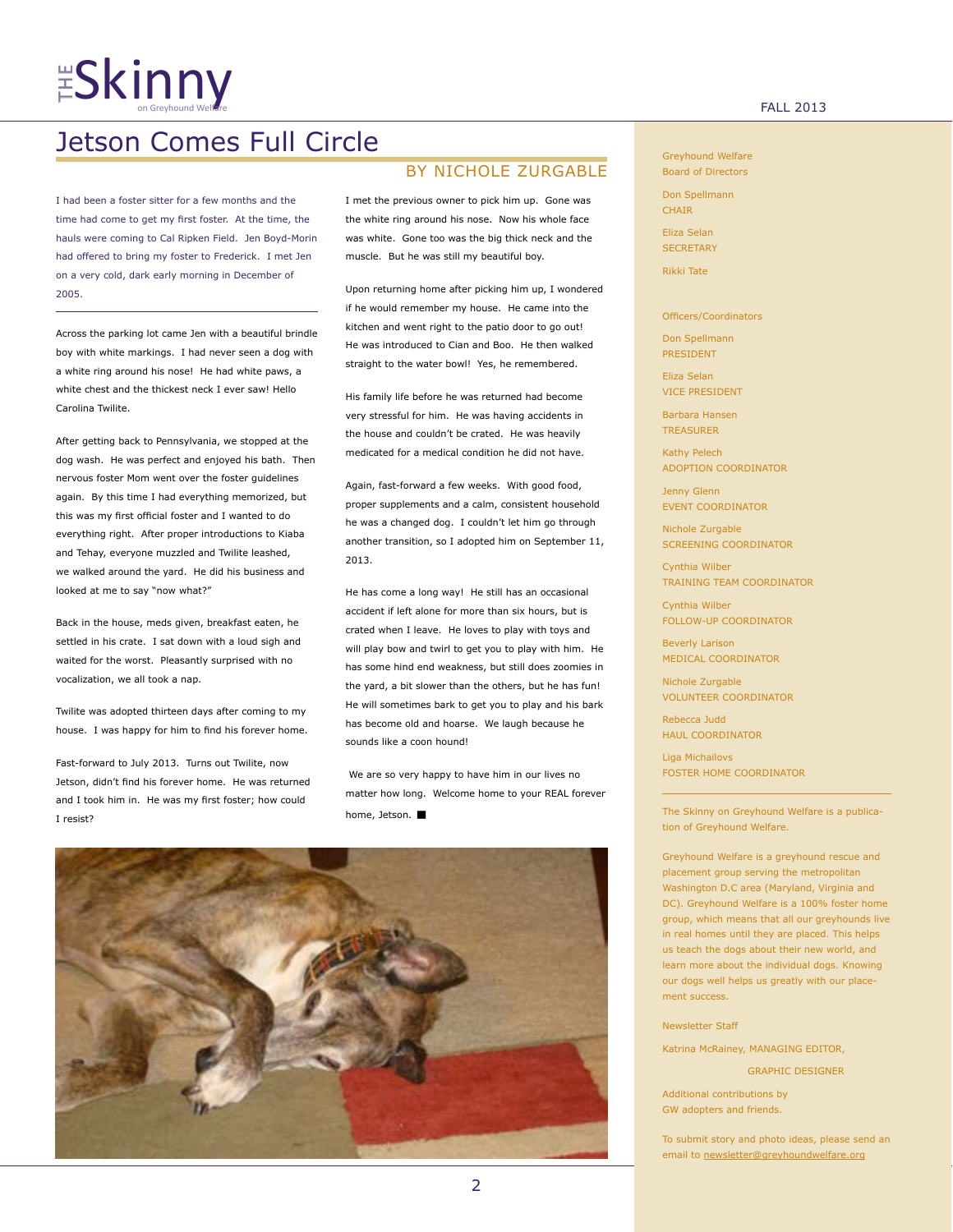# $ES$ kinny  $\sum_{\text{on Grevbound weight}^c}$

# Jetson Comes Full Circle

I had been a foster sitter for a few months and the time had come to get my first foster. At the time, the hauls were coming to Cal Ripken Field. Jen Boyd-Morin had offered to bring my foster to Frederick. I met Jen on a very cold, dark early morning in December of 2005.

Across the parking lot came Jen with a beautiful brindle boy with white markings. I had never seen a dog with a white ring around his nose! He had white paws, a white chest and the thickest neck I ever saw! Hello Carolina Twilite.

After getting back to Pennsylvania, we stopped at the dog wash. He was perfect and enjoyed his bath. Then nervous foster Mom went over the foster guidelines again. By this time I had everything memorized, but this was my first official foster and I wanted to do everything right. After proper introductions to Kiaba and Tehay, everyone muzzled and Twilite leashed, we walked around the yard. He did his business and looked at me to say "now what?"

Back in the house, meds given, breakfast eaten, he settled in his crate. I sat down with a loud sigh and waited for the worst. Pleasantly surprised with no vocalization, we all took a nap.

Twilite was adopted thirteen days after coming to my house. I was happy for him to find his forever home.

Fast-forward to July 2013. Turns out Twilite, now Jetson, didn't find his forever home. He was returned and I took him in. He was my first foster; how could I resist?

# BY NICHOLE ZURGABLE

I met the previous owner to pick him up. Gone was the white ring around his nose. Now his whole face was white. Gone too was the big thick neck and the muscle. But he was still my beautiful boy.

Upon returning home after picking him up, I wondered if he would remember my house. He came into the kitchen and went right to the patio door to go out! He was introduced to Cian and Boo. He then walked straight to the water bowl! Yes, he remembered.

His family life before he was returned had become very stressful for him. He was having accidents in the house and couldn't be crated. He was heavily medicated for a medical condition he did not have.

Again, fast-forward a few weeks. With good food, proper supplements and a calm, consistent household he was a changed dog. I couldn't let him go through another transition, so I adopted him on September 11, 2013.

He has come a long way! He still has an occasional accident if left alone for more than six hours, but is crated when I leave. He loves to play with toys and will play bow and twirl to get you to play with him. He has some hind end weakness, but still does zoomies in the yard, a bit slower than the others, but he has fun! He will sometimes bark to get you to play and his bark has become old and hoarse. We laugh because he sounds like a coon hound!

 We are so very happy to have him in our lives no matter how long. Welcome home to your REAL forever home, Jetson. **▪**



Greyhound Welfare Board of Directors

Don Spellmann **CHAIR** 

Eliza Selan **SECRETARY** 

Rikki Tate

Officers/Coordinators

Don Spellmann PRESIDENT

Eliza Selan VICE PRESIDENT

Barbara Hansen **TREASURER** 

Kathy Pelech ADOPTION COORDINATOR

Jenny Glenn EVENT COORDINATOR

Nichole Zurgable SCREENING COORDINATOR

Cynthia Wilber TRAINING TEAM COORDINATOR

Cynthia Wilber FOLLOW-UP COORDINATOR

Beverly Larison MEDICAL COORDINATOR

Nichole Zurgable VOLUNTEER COORDINATOR

Rebecca Judd HAUL COORDINATOR

Liga Michailovs FOSTER HOME COORDINATOR

The Skinny on Greyhound Welfare is a publication of Greyhound Welfare.

Greyhound Welfare is a greyhound rescue and placement group serving the metropolitan Washington D.C area (Maryland, Virginia and DC). Greyhound Welfare is a 100% foster home group, which means that all our greyhounds live in real homes until they are placed. This helps us teach the dogs about their new world, and learn more about the individual dogs. Knowing our dogs well helps us greatly with our placement success.

Newsletter Staff

Katrina McRainey, MANAGING EDITOR,

GRAPHIC DESIGNER

Additional contributions by GW adopters and friends.

To submit story and photo ideas, please send an email to newsletter@greyhoundwelfare.org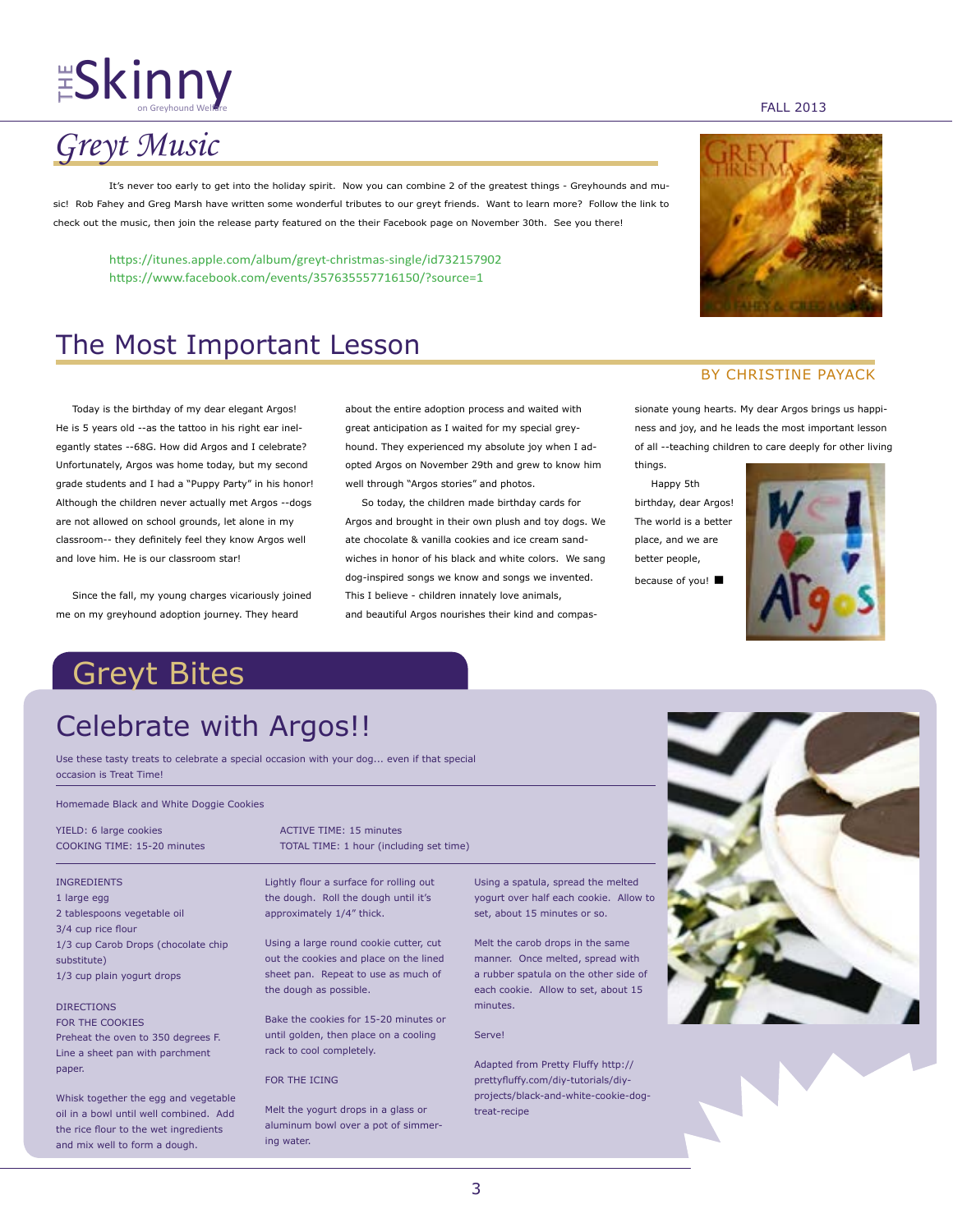# $\frac{11}{15}$ Skinny  $\frac{1}{201}$  and  $\frac{1}{201}$   $\frac{1}{201}$

# *Greyt Music*

It's never too early to get into the holiday spirit. Now you can combine 2 of the greatest things - Greyhounds and music! Rob Fahey and Greg Marsh have written some wonderful tributes to our greyt friends. Want to learn more? Follow the link to check out the music, then join the release party featured on the their Facebook page on November 30th. See you there!

https://itunes.apple.com/album/greyt-christmas-single/id732157902 https://www.facebook.com/events/357635557716150/?source=1

# The Most Important Lesson

 Today is the birthday of my dear elegant Argos! He is 5 years old --as the tattoo in his right ear inelegantly states --68G. How did Argos and I celebrate? Unfortunately, Argos was home today, but my second grade students and I had a "Puppy Party" in his honor! Although the children never actually met Argos --dogs are not allowed on school grounds, let alone in my classroom-- they definitely feel they know Argos well and love him. He is our classroom star!

 Since the fall, my young charges vicariously joined me on my greyhound adoption journey. They heard

about the entire adoption process and waited with great anticipation as I waited for my special greyhound. They experienced my absolute joy when I adopted Argos on November 29th and grew to know him well through "Argos stories" and photos.

 So today, the children made birthday cards for Argos and brought in their own plush and toy dogs. We ate chocolate & vanilla cookies and ice cream sandwiches in honor of his black and white colors. We sang dog-inspired songs we know and songs we invented. This I believe - children innately love animals, and beautiful Argos nourishes their kind and compas-

## BY CHRISTINE PAYACK

sionate young hearts. My dear Argos brings us happiness and joy, and he leads the most important lesson of all --teaching children to care deeply for other living things.

 Happy 5th birthday, dear Argos! The world is a better place, and we are better people, because of you! **▪**



# Greyt Bites

# Celebrate with Argos!!

Use these tasty treats to celebrate a special occasion with your dog... even if that special occasion is Treat Time!

#### Homemade Black and White Doggie Cookies

#### INGREDIENTS

1 large egg 2 tablespoons vegetable oil 3/4 cup rice flour 1/3 cup Carob Drops (chocolate chip substitute) 1/3 cup plain yogurt drops

#### DIRECTIONS

FOR THE COOKIES Preheat the oven to 350 degrees F. Line a sheet pan with parchment paper.

Whisk together the egg and vegetable oil in a bowl until well combined. Add the rice flour to the wet ingredients and mix well to form a dough.

YIELD: 6 large cookies ACTIVE TIME: 15 minutes COOKING TIME: 15-20 minutes TOTAL TIME: 1 hour (including set time)

> Lightly flour a surface for rolling out the dough. Roll the dough until it's approximately 1/4" thick.

Using a large round cookie cutter, cut out the cookies and place on the lined sheet pan. Repeat to use as much of the dough as possible.

Bake the cookies for 15-20 minutes or until golden, then place on a cooling rack to cool completely.

FOR THE ICING

Melt the yogurt drops in a glass or aluminum bowl over a pot of simmering water.

Using a spatula, spread the melted yogurt over half each cookie. Allow to set, about 15 minutes or so.

Melt the carob drops in the same manner. Once melted, spread with a rubber spatula on the other side of each cookie. Allow to set, about 15 minutes.

### Serve!

Adapted from Pretty Fluffy http:// prettyfluffy.com/diy-tutorials/diyprojects/black-and-white-cookie-dogtreat-recipe



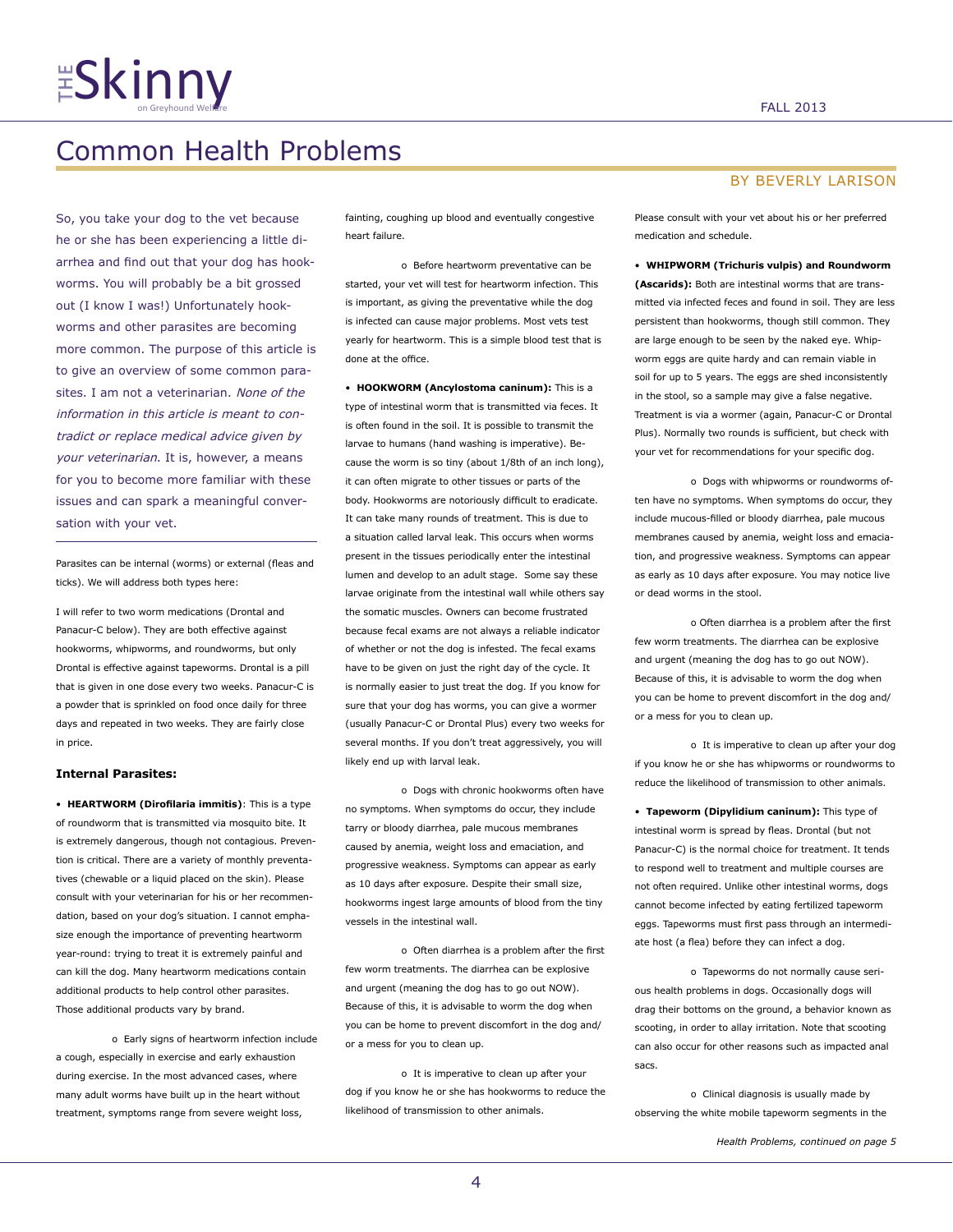# $\frac{14}{5}$ Skinny  $\frac{1}{2013}$

# Common Health Problems

So, you take your dog to the vet because he or she has been experiencing a little diarrhea and find out that your dog has hookworms. You will probably be a bit grossed out (I know I was!) Unfortunately hookworms and other parasites are becoming more common. The purpose of this article is to give an overview of some common parasites. I am not a veterinarian. None of the information in this article is meant to contradict or replace medical advice given by your veterinarian. It is, however, a means for you to become more familiar with these issues and can spark a meaningful conversation with your vet.

Parasites can be internal (worms) or external (fleas and ticks). We will address both types here:

I will refer to two worm medications (Drontal and Panacur-C below). They are both effective against hookworms, whipworms, and roundworms, but only Drontal is effective against tapeworms. Drontal is a pill that is given in one dose every two weeks. Panacur-C is a powder that is sprinkled on food once daily for three days and repeated in two weeks. They are fairly close in price.

## **Internal Parasites:**

• **HEARTWORM (Dirofilaria immitis)**: This is a type of roundworm that is transmitted via mosquito bite. It is extremely dangerous, though not contagious. Prevention is critical. There are a variety of monthly preventatives (chewable or a liquid placed on the skin). Please consult with your veterinarian for his or her recommendation, based on your dog's situation. I cannot emphasize enough the importance of preventing heartworm year-round: trying to treat it is extremely painful and can kill the dog. Many heartworm medications contain additional products to help control other parasites. Those additional products vary by brand.

o Early signs of heartworm infection include a cough, especially in exercise and early exhaustion during exercise. In the most advanced cases, where many adult worms have built up in the heart without treatment, symptoms range from severe weight loss,

fainting, coughing up blood and eventually congestive heart failure.

o Before heartworm preventative can be started, your vet will test for heartworm infection. This is important, as giving the preventative while the dog is infected can cause major problems. Most vets test yearly for heartworm. This is a simple blood test that is done at the office.

• **HOOKWORM (Ancylostoma caninum):** This is a type of intestinal worm that is transmitted via feces. It is often found in the soil. It is possible to transmit the larvae to humans (hand washing is imperative). Because the worm is so tiny (about 1/8th of an inch long), it can often migrate to other tissues or parts of the body. Hookworms are notoriously difficult to eradicate. It can take many rounds of treatment. This is due to a situation called larval leak. This occurs when worms present in the tissues periodically enter the intestinal lumen and develop to an adult stage. Some say these larvae originate from the intestinal wall while others say the somatic muscles. Owners can become frustrated because fecal exams are not always a reliable indicator of whether or not the dog is infested. The fecal exams have to be given on just the right day of the cycle. It is normally easier to just treat the dog. If you know for sure that your dog has worms, you can give a wormer (usually Panacur-C or Drontal Plus) every two weeks for several months. If you don't treat aggressively, you will likely end up with larval leak.

o Dogs with chronic hookworms often have no symptoms. When symptoms do occur, they include tarry or bloody diarrhea, pale mucous membranes caused by anemia, weight loss and emaciation, and progressive weakness. Symptoms can appear as early as 10 days after exposure. Despite their small size, hookworms ingest large amounts of blood from the tiny vessels in the intestinal wall.

o Often diarrhea is a problem after the first few worm treatments. The diarrhea can be explosive and urgent (meaning the dog has to go out NOW). Because of this, it is advisable to worm the dog when you can be home to prevent discomfort in the dog and/ or a mess for you to clean up.

o It is imperative to clean up after your dog if you know he or she has hookworms to reduce the likelihood of transmission to other animals.

## BY BEVERLY LARISON

Please consult with your vet about his or her preferred medication and schedule.

• **WHIPWORM (Trichuris vulpis) and Roundworm (Ascarids):** Both are intestinal worms that are transmitted via infected feces and found in soil. They are less persistent than hookworms, though still common. They are large enough to be seen by the naked eye. Whipworm eggs are quite hardy and can remain viable in soil for up to 5 years. The eggs are shed inconsistently in the stool, so a sample may give a false negative. Treatment is via a wormer (again, Panacur-C or Drontal Plus). Normally two rounds is sufficient, but check with your vet for recommendations for your specific dog.

o Dogs with whipworms or roundworms often have no symptoms. When symptoms do occur, they include mucous-filled or bloody diarrhea, pale mucous membranes caused by anemia, weight loss and emaciation, and progressive weakness. Symptoms can appear as early as 10 days after exposure. You may notice live or dead worms in the stool.

o Often diarrhea is a problem after the first few worm treatments. The diarrhea can be explosive and urgent (meaning the dog has to go out NOW). Because of this, it is advisable to worm the dog when you can be home to prevent discomfort in the dog and/ or a mess for you to clean up.

o It is imperative to clean up after your dog if you know he or she has whipworms or roundworms to reduce the likelihood of transmission to other animals.

• **Tapeworm (Dipylidium caninum):** This type of intestinal worm is spread by fleas. Drontal (but not Panacur-C) is the normal choice for treatment. It tends to respond well to treatment and multiple courses are not often required. Unlike other intestinal worms, dogs cannot become infected by eating fertilized tapeworm eggs. Tapeworms must first pass through an intermediate host (a flea) before they can infect a dog.

o Tapeworms do not normally cause serious health problems in dogs. Occasionally dogs will drag their bottoms on the ground, a behavior known as scooting, in order to allay irritation. Note that scooting can also occur for other reasons such as impacted anal sacs.

o Clinical diagnosis is usually made by observing the white mobile tapeworm segments in the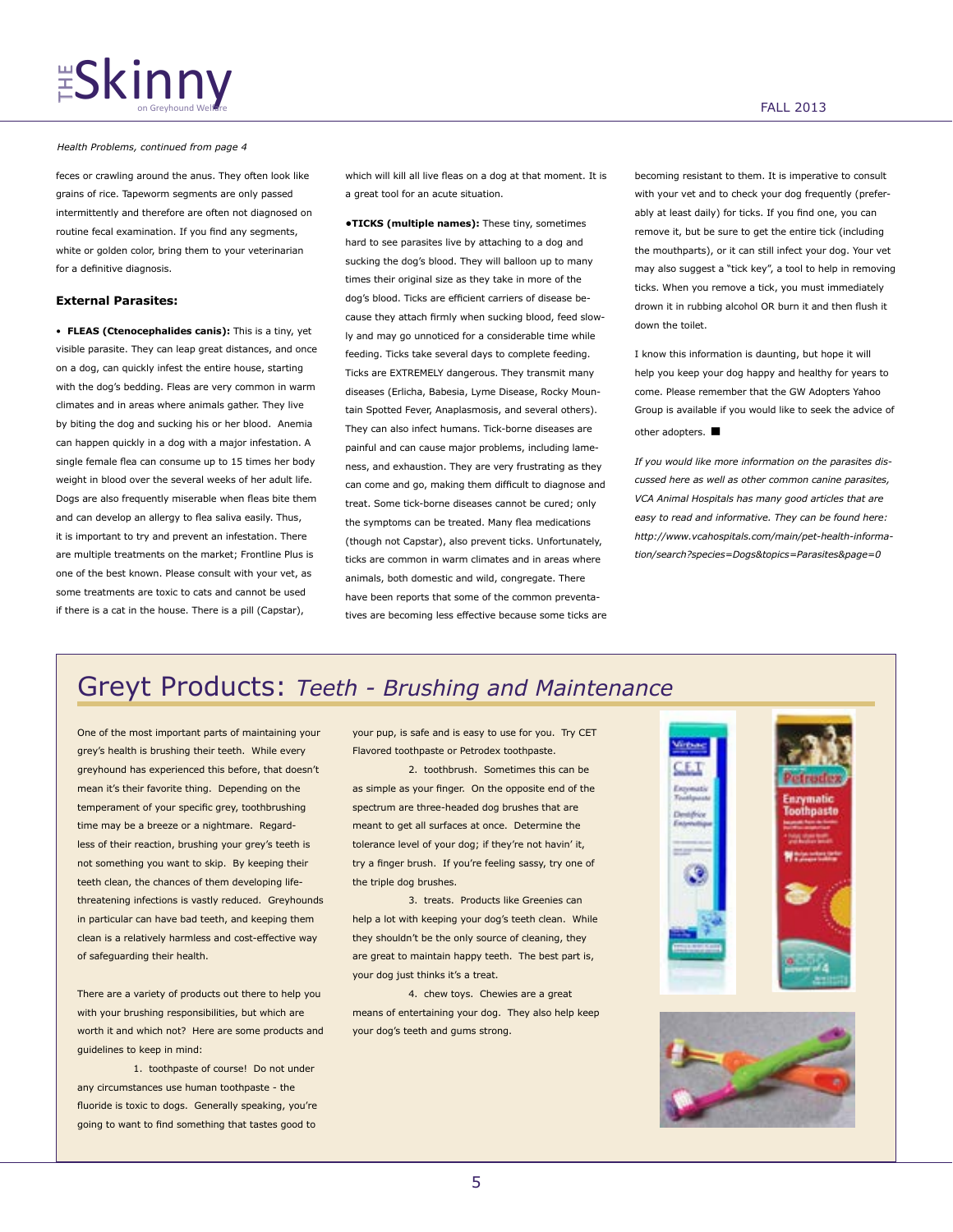# $\frac{11}{5}$ Skinny  $\frac{1}{2013}$

*Health Problems, continued from page 4*

feces or crawling around the anus. They often look like grains of rice. Tapeworm segments are only passed intermittently and therefore are often not diagnosed on routine fecal examination. If you find any segments, white or golden color, bring them to your veterinarian for a definitive diagnosis.

## **External Parasites:**

• **FLEAS (Ctenocephalides canis):** This is a tiny, yet visible parasite. They can leap great distances, and once on a dog, can quickly infest the entire house, starting with the dog's bedding. Fleas are very common in warm climates and in areas where animals gather. They live by biting the dog and sucking his or her blood. Anemia can happen quickly in a dog with a major infestation. A single female flea can consume up to 15 times her body weight in blood over the several weeks of her adult life. Dogs are also frequently miserable when fleas bite them and can develop an allergy to flea saliva easily. Thus, it is important to try and prevent an infestation. There are multiple treatments on the market; Frontline Plus is one of the best known. Please consult with your vet, as some treatments are toxic to cats and cannot be used if there is a cat in the house. There is a pill (Capstar),

which will kill all live fleas on a dog at that moment. It is a great tool for an acute situation.

**•TICKS (multiple names):** These tiny, sometimes hard to see parasites live by attaching to a dog and sucking the dog's blood. They will balloon up to many times their original size as they take in more of the dog's blood. Ticks are efficient carriers of disease because they attach firmly when sucking blood, feed slowly and may go unnoticed for a considerable time while feeding. Ticks take several days to complete feeding. Ticks are EXTREMELY dangerous. They transmit many diseases (Erlicha, Babesia, Lyme Disease, Rocky Mountain Spotted Fever, Anaplasmosis, and several others). They can also infect humans. Tick-borne diseases are painful and can cause major problems, including lameness, and exhaustion. They are very frustrating as they can come and go, making them difficult to diagnose and treat. Some tick-borne diseases cannot be cured; only the symptoms can be treated. Many flea medications (though not Capstar), also prevent ticks. Unfortunately, ticks are common in warm climates and in areas where animals, both domestic and wild, congregate. There have been reports that some of the common preventatives are becoming less effective because some ticks are becoming resistant to them. It is imperative to consult with your vet and to check your dog frequently (preferably at least daily) for ticks. If you find one, you can remove it, but be sure to get the entire tick (including the mouthparts), or it can still infect your dog. Your vet may also suggest a "tick key", a tool to help in removing ticks. When you remove a tick, you must immediately drown it in rubbing alcohol OR burn it and then flush it down the toilet.

I know this information is daunting, but hope it will help you keep your dog happy and healthy for years to come. Please remember that the GW Adopters Yahoo Group is available if you would like to seek the advice of other adopters. **▪**

*If you would like more information on the parasites discussed here as well as other common canine parasites, VCA Animal Hospitals has many good articles that are easy to read and informative. They can be found here: http://www.vcahospitals.com/main/pet-health-information/search?species=Dogs&topics=Parasites&page=0*

# Greyt Products: *Teeth - Brushing and Maintenance*

One of the most important parts of maintaining your grey's health is brushing their teeth. While every greyhound has experienced this before, that doesn't mean it's their favorite thing. Depending on the temperament of your specific grey, toothbrushing time may be a breeze or a nightmare. Regardless of their reaction, brushing your grey's teeth is not something you want to skip. By keeping their teeth clean, the chances of them developing lifethreatening infections is vastly reduced. Greyhounds in particular can have bad teeth, and keeping them clean is a relatively harmless and cost-effective way of safeguarding their health.

There are a variety of products out there to help you with your brushing responsibilities, but which are worth it and which not? Here are some products and guidelines to keep in mind:

1. toothpaste of course! Do not under any circumstances use human toothpaste - the fluoride is toxic to dogs. Generally speaking, you're going to want to find something that tastes good to your pup, is safe and is easy to use for you. Try CET Flavored toothpaste or Petrodex toothpaste.

2. toothbrush. Sometimes this can be as simple as your finger. On the opposite end of the spectrum are three-headed dog brushes that are meant to get all surfaces at once. Determine the tolerance level of your dog; if they're not havin' it, try a finger brush. If you're feeling sassy, try one of the triple dog brushes.

3. treats. Products like Greenies can help a lot with keeping your dog's teeth clean. While they shouldn't be the only source of cleaning, they are great to maintain happy teeth. The best part is, your dog just thinks it's a treat.

4. chew toys. Chewies are a great means of entertaining your dog. They also help keep your dog's teeth and gums strong.